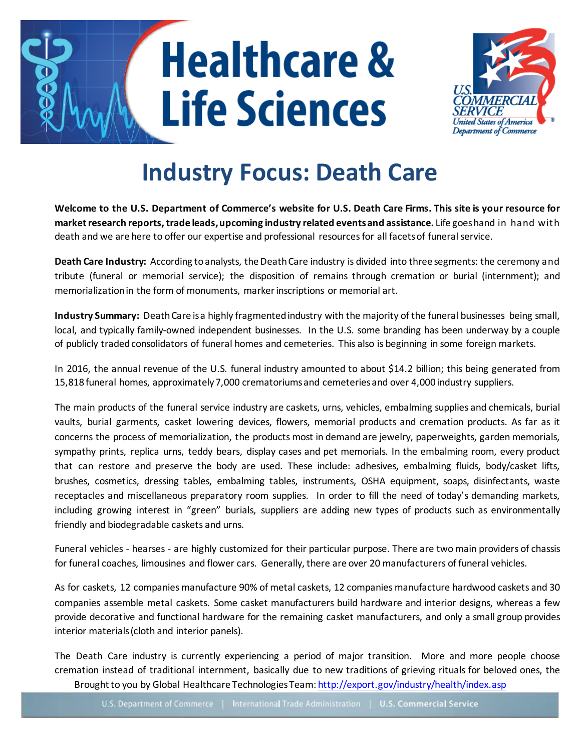# **Healthcare & Life Sciences**



# **Industry Focus: Death Care**

**Welcome to the U.S. Department of Commerce's website for U.S. Death Care Firms. This site is your resource for market research reports, trade leads, upcoming industry related events and assistance.** Life goes hand in hand with death and we are here to offer our expertise and professional resources for all facets of funeral service.

**Death Care Industry:** According to analysts, the Death Care industry is divided into three segments: the ceremony and tribute (funeral or memorial service); the disposition of remains through cremation or burial (internment); and memorialization in the form of monuments, marker inscriptions or memorial art.

**Industry Summary:** Death Care isa highly fragmentedindustry with the majority of the funeral businesses being small, local, and typically family-owned independent businesses. In the U.S. some branding has been underway by a couple of publicly traded consolidators of funeral homes and cemeteries. This also is beginning in some foreign markets.

In 2016, the annual revenue of the U.S. funeral industry amounted to about \$14.2 billion; this being generated from 15,818 funeral homes, approximately 7,000 crematoriums and cemeteries and over 4,000 industry suppliers.

The main products of the funeral service industry are caskets, urns, vehicles, embalming supplies and chemicals, burial vaults, burial garments, casket lowering devices, flowers, memorial products and cremation products. As far as it concerns the process of memorialization, the products most in demand are jewelry, paperweights, garden memorials, sympathy prints, replica urns, teddy bears, display cases and pet memorials. In the embalming room, every product that can restore and preserve the body are used. These include: adhesives, embalming fluids, body/casket lifts, brushes, cosmetics, dressing tables, embalming tables, instruments, OSHA equipment, soaps, disinfectants, waste receptacles and miscellaneous preparatory room supplies. In order to fill the need of today's demanding markets, including growing interest in "green" burials, suppliers are adding new types of products such as environmentally friendly and biodegradable caskets and urns.

Funeral vehicles - hearses - are highly customized for their particular purpose. There are two main providers of chassis for funeral coaches, limousines and flower cars. Generally, there are over 20 manufacturers of funeral vehicles.

As for caskets, 12 companies manufacture 90% of metal caskets, 12 companies manufacture hardwood caskets and 30 companies assemble metal caskets. Some casket manufacturers build hardware and interior designs, whereas a few provide decorative and functional hardware for the remaining casket manufacturers, and only a small group provides interior materials (cloth and interior panels).

Brought to you by Global Healthcare Technologies Team[: http://export.gov/industry/health/index.asp](http://export.gov/industry/health/index.asp) The Death Care industry is currently experiencing a period of major transition. More and more people choose cremation instead of traditional internment, basically due to new traditions of grieving rituals for beloved ones, the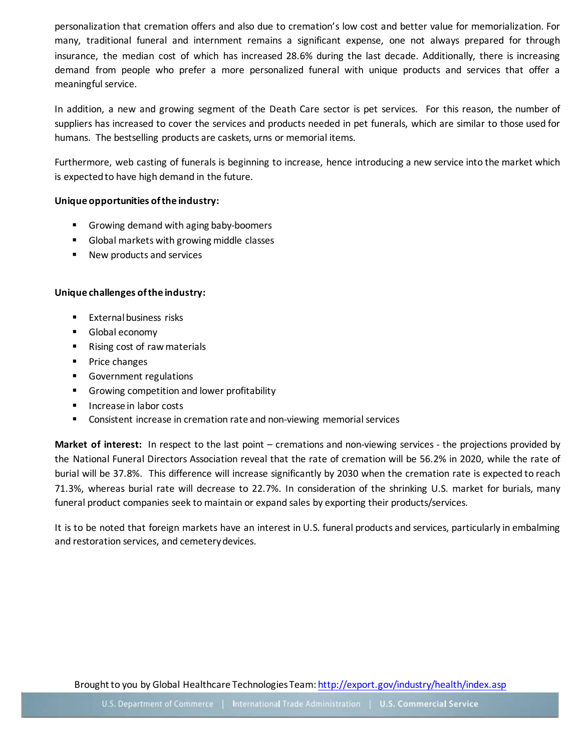personalization that cremation offers and also due to cremation's low cost and better value for memorialization. For many, traditional funeral and internment remains a significant expense, one not always prepared for through insurance, the median cost of which has increased 28.6% during the last decade. Additionally, there is increasing demand from people who prefer a more personalized funeral with unique products and services that offer a meaningful service.

In addition, a new and growing segment of the Death Care sector is pet services. For this reason, the number of suppliers has increased to cover the services and products needed in pet funerals, which are similar to those used for humans. The bestselling products are caskets, urns or memorial items.

Furthermore, web casting of funerals is beginning to increase, hence introducing a new service into the market which is expected to have high demand in the future.

#### **Unique opportunities of the industry:**

- Growing demand with aging baby-boomers
- Global markets with growing middle classes
- New products and services

### **Unique challenges of the industry:**

- **External business risks**
- **Global economy**
- Rising cost of raw materials
- **Price changes**
- **Government regulations**
- **Growing competition and lower profitability**
- **Increase in labor costs**
- Consistent increase in cremation rate and non-viewing memorial services

**Market of interest:** In respect to the last point – cremations and non-viewing services - the projections provided by the National Funeral Directors Association reveal that the rate of cremation will be 56.2% in 2020, while the rate of burial will be 37.8%. This difference will increase significantly by 2030 when the cremation rate is expected to reach 71.3%, whereas burial rate will decrease to 22.7%. In consideration of the shrinking U.S. market for burials, many funeral product companies seek to maintain or expand sales by exporting their products/services.

It is to be noted that foreign markets have an interest in U.S. funeral products and services, particularly in embalming and restoration services, and cemetery devices.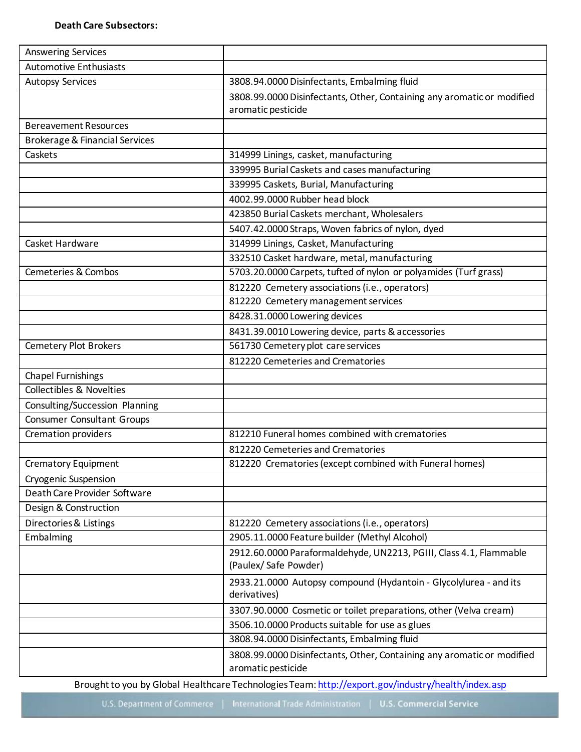| <b>Answering Services</b>                 |                                                                                              |  |  |
|-------------------------------------------|----------------------------------------------------------------------------------------------|--|--|
| <b>Automotive Enthusiasts</b>             |                                                                                              |  |  |
| <b>Autopsy Services</b>                   | 3808.94.0000 Disinfectants, Embalming fluid                                                  |  |  |
|                                           | 3808.99.0000 Disinfectants, Other, Containing any aromatic or modified                       |  |  |
|                                           | aromatic pesticide                                                                           |  |  |
| <b>Bereavement Resources</b>              |                                                                                              |  |  |
| <b>Brokerage &amp; Financial Services</b> |                                                                                              |  |  |
| Caskets                                   | 314999 Linings, casket, manufacturing                                                        |  |  |
|                                           | 339995 Burial Caskets and cases manufacturing<br>339995 Caskets, Burial, Manufacturing       |  |  |
|                                           |                                                                                              |  |  |
|                                           | 4002.99.0000 Rubber head block                                                               |  |  |
|                                           | 423850 Burial Caskets merchant, Wholesalers                                                  |  |  |
|                                           | 5407.42.0000 Straps, Woven fabrics of nylon, dyed                                            |  |  |
| Casket Hardware                           | 314999 Linings, Casket, Manufacturing                                                        |  |  |
|                                           | 332510 Casket hardware, metal, manufacturing                                                 |  |  |
| Cemeteries & Combos                       | 5703.20.0000 Carpets, tufted of nylon or polyamides (Turf grass)                             |  |  |
|                                           | 812220 Cemetery associations (i.e., operators)                                               |  |  |
|                                           | 812220 Cemetery management services                                                          |  |  |
|                                           | 8428.31.0000 Lowering devices                                                                |  |  |
|                                           | 8431.39.0010 Lowering device, parts & accessories                                            |  |  |
| <b>Cemetery Plot Brokers</b>              | 561730 Cemetery plot care services                                                           |  |  |
|                                           | 812220 Cemeteries and Crematories                                                            |  |  |
| <b>Chapel Furnishings</b>                 |                                                                                              |  |  |
| <b>Collectibles &amp; Novelties</b>       |                                                                                              |  |  |
| Consulting/Succession Planning            |                                                                                              |  |  |
| Consumer Consultant Groups                |                                                                                              |  |  |
| Cremation providers                       | 812210 Funeral homes combined with crematories                                               |  |  |
|                                           | 812220 Cemeteries and Crematories                                                            |  |  |
| Crematory Equipment                       | 812220 Crematories (except combined with Funeral homes)                                      |  |  |
| <b>Cryogenic Suspension</b>               |                                                                                              |  |  |
| Death Care Provider Software              |                                                                                              |  |  |
| Design & Construction                     |                                                                                              |  |  |
| Directories & Listings                    | 812220 Cemetery associations (i.e., operators)                                               |  |  |
| Embalming                                 | 2905.11.0000 Feature builder (Methyl Alcohol)                                                |  |  |
|                                           | 2912.60.0000 Paraformaldehyde, UN2213, PGIII, Class 4.1, Flammable                           |  |  |
|                                           | (Paulex/Safe Powder)                                                                         |  |  |
|                                           | 2933.21.0000 Autopsy compound (Hydantoin - Glycolylurea - and its<br>derivatives)            |  |  |
|                                           | 3307.90.0000 Cosmetic or toilet preparations, other (Velva cream)                            |  |  |
|                                           | 3506.10.0000 Products suitable for use as glues                                              |  |  |
|                                           | 3808.94.0000 Disinfectants, Embalming fluid                                                  |  |  |
|                                           | 3808.99.0000 Disinfectants, Other, Containing any aromatic or modified<br>aromatic pesticide |  |  |

Brought to you by Global Healthcare Technologies Team[: http://export.gov/industry/health/index.asp](http://export.gov/industry/health/index.asp)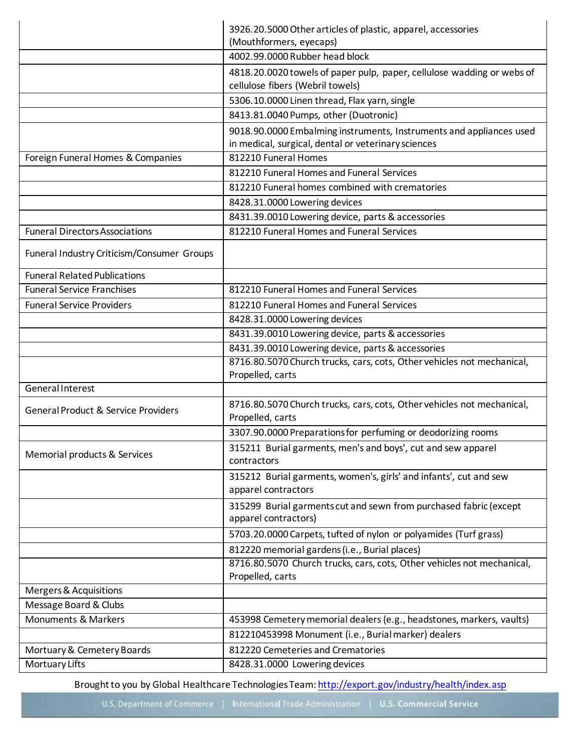|                                                | 3926.20.5000 Other articles of plastic, apparel, accessories<br>(Mouthformers, eyecaps)                                    |  |  |
|------------------------------------------------|----------------------------------------------------------------------------------------------------------------------------|--|--|
|                                                | 4002.99.0000 Rubber head block                                                                                             |  |  |
|                                                | 4818.20.0020 towels of paper pulp, paper, cellulose wadding or webs of<br>cellulose fibers (Webril towels)                 |  |  |
|                                                | 5306.10.0000 Linen thread, Flax yarn, single                                                                               |  |  |
|                                                | 8413.81.0040 Pumps, other (Duotronic)                                                                                      |  |  |
|                                                | 9018.90.0000 Embalming instruments, Instruments and appliances used<br>in medical, surgical, dental or veterinary sciences |  |  |
| Foreign Funeral Homes & Companies              | 812210 Funeral Homes                                                                                                       |  |  |
|                                                | 812210 Funeral Homes and Funeral Services                                                                                  |  |  |
|                                                | 812210 Funeral homes combined with crematories                                                                             |  |  |
|                                                | 8428.31.0000 Lowering devices                                                                                              |  |  |
|                                                | 8431.39.0010 Lowering device, parts & accessories                                                                          |  |  |
| <b>Funeral Directors Associations</b>          | 812210 Funeral Homes and Funeral Services                                                                                  |  |  |
| Funeral Industry Criticism/Consumer Groups     |                                                                                                                            |  |  |
| <b>Funeral Related Publications</b>            |                                                                                                                            |  |  |
| <b>Funeral Service Franchises</b>              | 812210 Funeral Homes and Funeral Services                                                                                  |  |  |
| <b>Funeral Service Providers</b>               | 812210 Funeral Homes and Funeral Services                                                                                  |  |  |
|                                                | 8428.31.0000 Lowering devices                                                                                              |  |  |
|                                                | 8431.39.0010 Lowering device, parts & accessories                                                                          |  |  |
|                                                | 8431.39.0010 Lowering device, parts & accessories                                                                          |  |  |
|                                                | 8716.80.5070 Church trucks, cars, cots, Other vehicles not mechanical,<br>Propelled, carts                                 |  |  |
| <b>General Interest</b>                        |                                                                                                                            |  |  |
| <b>General Product &amp; Service Providers</b> | 8716.80.5070 Church trucks, cars, cots, Other vehicles not mechanical,<br>Propelled, carts                                 |  |  |
|                                                | 3307.90.0000 Preparations for perfuming or deodorizing rooms                                                               |  |  |
| Memorial products & Services                   | 315211 Burial garments, men's and boys', cut and sew apparel<br>contractors                                                |  |  |
|                                                | 315212 Burial garments, women's, girls' and infants', cut and sew<br>apparel contractors                                   |  |  |
|                                                | 315299 Burial garments cut and sewn from purchased fabric (except<br>apparel contractors)                                  |  |  |
|                                                | 5703.20.0000 Carpets, tufted of nylon or polyamides (Turf grass)                                                           |  |  |
|                                                | 812220 memorial gardens (i.e., Burial places)                                                                              |  |  |
|                                                | 8716.80.5070 Church trucks, cars, cots, Other vehicles not mechanical,<br>Propelled, carts                                 |  |  |
| Mergers & Acquisitions                         |                                                                                                                            |  |  |
| Message Board & Clubs                          |                                                                                                                            |  |  |
| <b>Monuments &amp; Markers</b>                 | 453998 Cemetery memorial dealers (e.g., headstones, markers, vaults)                                                       |  |  |
|                                                | 812210453998 Monument (i.e., Burial marker) dealers                                                                        |  |  |
| Mortuary & Cemetery Boards                     | 812220 Cemeteries and Crematories                                                                                          |  |  |
| Mortuary Lifts                                 | 8428.31.0000 Lowering devices                                                                                              |  |  |

Brought to you by Global Healthcare Technologies Team[: http://export.gov/industry/health/index.asp](http://export.gov/industry/health/index.asp)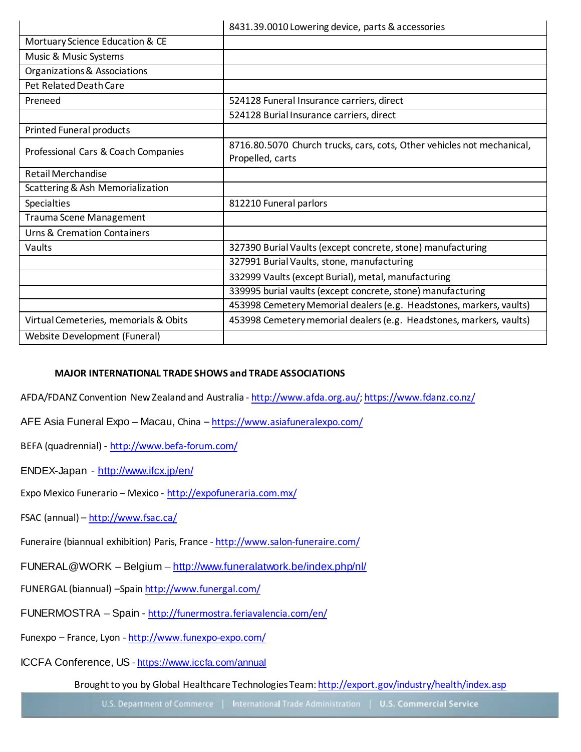|                                        | 8431.39.0010 Lowering device, parts & accessories                                          |  |  |
|----------------------------------------|--------------------------------------------------------------------------------------------|--|--|
| Mortuary Science Education & CE        |                                                                                            |  |  |
| Music & Music Systems                  |                                                                                            |  |  |
| Organizations & Associations           |                                                                                            |  |  |
| Pet Related Death Care                 |                                                                                            |  |  |
| Preneed                                | 524128 Funeral Insurance carriers, direct                                                  |  |  |
|                                        | 524128 Burial Insurance carriers, direct                                                   |  |  |
| <b>Printed Funeral products</b>        |                                                                                            |  |  |
| Professional Cars & Coach Companies    | 8716.80.5070 Church trucks, cars, cots, Other vehicles not mechanical,<br>Propelled, carts |  |  |
| <b>Retail Merchandise</b>              |                                                                                            |  |  |
| Scattering & Ash Memorialization       |                                                                                            |  |  |
| <b>Specialties</b>                     | 812210 Funeral parlors                                                                     |  |  |
| <b>Trauma Scene Management</b>         |                                                                                            |  |  |
| <b>Urns &amp; Cremation Containers</b> |                                                                                            |  |  |
| Vaults                                 | 327390 Burial Vaults (except concrete, stone) manufacturing                                |  |  |
|                                        | 327991 Burial Vaults, stone, manufacturing                                                 |  |  |
|                                        | 332999 Vaults (except Burial), metal, manufacturing                                        |  |  |
|                                        | 339995 burial vaults (except concrete, stone) manufacturing                                |  |  |
|                                        | 453998 Cemetery Memorial dealers (e.g. Headstones, markers, vaults)                        |  |  |
| Virtual Cemeteries, memorials & Obits  | 453998 Cemetery memorial dealers (e.g. Headstones, markers, vaults)                        |  |  |
| Website Development (Funeral)          |                                                                                            |  |  |

## **MAJOR INTERNATIONAL TRADE SHOWS and TRADE ASSOCIATIONS**

AFDA/FDANZ Convention New Zealand and Australia - <http://www.afda.org.au/>[; https://www.fdanz.co.nz/](https://www.fdanz.co.nz/)

- AFE Asia Funeral Expo Macau, China <https://www.asiafuneralexpo.com/>
- BEFA (quadrennial) <http://www.befa-forum.com/>

ENDEX-Japan - <http://www.ifcx.jp/en/>

Expo Mexico Funerario – Mexico - <http://expofuneraria.com.mx/>

FSAC (annual) – <http://www.fsac.ca/>

Funeraire (biannual exhibition) Paris, France - <http://www.salon-funeraire.com/>

FUNERAL@WORK – Belgium – <http://www.funeralatwork.be/index.php/nl/>

FUNERGAL (biannual) -Spain<http://www.funergal.com/>

FUNERMOSTRA – Spain - <http://funermostra.feriavalencia.com/en/>

Funexpo – France, Lyon - <http://www.funexpo-expo.com/>

ICCFA Conference, US - <https://www.iccfa.com/annual>

Brought to you by Global Healthcare Technologies Team[: http://export.gov/industry/health/index.asp](http://export.gov/industry/health/index.asp)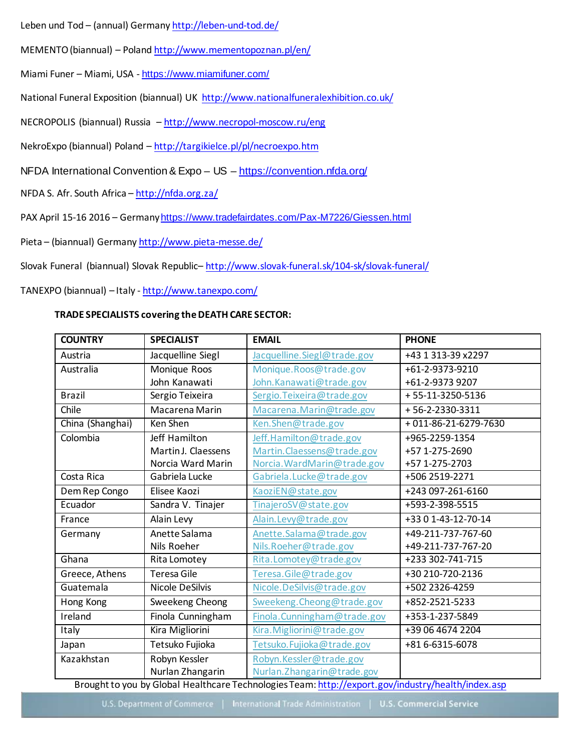Leben und Tod - (annual) German[y http://leben-und-tod.de/](http://leben-und-tod.de/)

MEMENTO (biannual) – Polan[d http://www.mementopoznan.pl/en/](http://www.mementopoznan.pl/en/)

Miami Funer – Miami, USA - <https://www.miamifuner.com/>

National Funeral Exposition (biannual) UK<http://www.nationalfuneralexhibition.co.uk/>

NECROPOLIS (biannual) Russia – <http://www.necropol-moscow.ru/eng>

NekroExpo (biannual) Poland – <http://targikielce.pl/pl/necroexpo.htm>

NFDA International Convention & Expo - US - <https://convention.nfda.org/>

NFDA S. Afr. South Africa – <http://nfda.org.za/>

PAX April 15-16 2016 – Germany <https://www.tradefairdates.com/Pax-M7226/Giessen.html>

Pieta – (biannual) German[y http://www.pieta-messe.de/](http://www.pieta-messe.de/)

Slovak Funeral (biannual) Slovak Republic-<http://www.slovak-funeral.sk/104-sk/slovak-funeral/>

TANEXPO (biannual) – Italy - <http://www.tanexpo.com/>

#### **TRADE SPECIALISTS covering the DEATH CARE SECTOR:**

| <b>COUNTRY</b>   | <b>SPECIALIST</b>      | <b>EMAIL</b>                | <b>PHONE</b>           |
|------------------|------------------------|-----------------------------|------------------------|
| Austria          | Jacquelline Siegl      | Jacquelline.Siegl@trade.gov | +43 1 313-39 x2297     |
| Australia        | Monique Roos           | Monique.Roos@trade.gov      | +61-2-9373-9210        |
|                  | John Kanawati          | John. Kanawati@trade.gov    | +61-2-9373 9207        |
| <b>Brazil</b>    | Sergio Teixeira        | Sergio. Teixeira@trade.gov  | +55-11-3250-5136       |
| Chile            | Macarena Marin         | Macarena.Marin@trade.gov    | +56-2-2330-3311        |
| China (Shanghai) | Ken Shen               | Ken.Shen@trade.gov          | $+011-86-21-6279-7630$ |
| Colombia         | Jeff Hamilton          | Jeff.Hamilton@trade.gov     | +965-2259-1354         |
|                  | Martin J. Claessens    | Martin.Claessens@trade.gov  | +57 1-275-2690         |
|                  | Norcia Ward Marin      | Norcia. WardMarin@trade.gov | +57 1-275-2703         |
| Costa Rica       | Gabriela Lucke         | Gabriela.Lucke@trade.gov    | +506 2519-2271         |
| Dem Rep Congo    | Elisee Kaozi           | KaoziEN@state.gov           | +243 097-261-6160      |
| Ecuador          | Sandra V. Tinajer      | TinajeroSV@state.gov        | +593-2-398-5515        |
| France           | Alain Levy             | Alain.Levy@trade.gov        | +33 0 1-43-12-70-14    |
| Germany          | Anette Salama          | Anette.Salama@trade.gov     | +49-211-737-767-60     |
|                  | Nils Roeher            | Nils.Roeher@trade.gov       | +49-211-737-767-20     |
| Ghana            | Rita Lomotey           | Rita.Lomotey@trade.gov      | +233 302-741-715       |
| Greece, Athens   | <b>Teresa Gile</b>     | Teresa.Gile@trade.gov       | +30 210-720-2136       |
| Guatemala        | <b>Nicole DeSilvis</b> | Nicole.DeSilvis@trade.gov   | +502 2326-4259         |
| Hong Kong        | Sweekeng Cheong        | Sweekeng. Cheong@trade.gov  | +852-2521-5233         |
| Ireland          | Finola Cunningham      | Finola.Cunningham@trade.gov | +353-1-237-5849        |
| <b>Italy</b>     | Kira Migliorini        | Kira. Migliorini@trade.gov  | +39 06 4674 2204       |
| Japan            | Tetsuko Fujioka        | Tetsuko. Fujioka@trade.gov  | +81 6-6315-6078        |
| Kazakhstan       | Robyn Kessler          | Robyn.Kessler@trade.gov     |                        |
|                  | Nurlan Zhangarin       | Nurlan. Zhangarin@trade.gov |                        |

Brought to you by Global Healthcare Technologies Team[: http://export.gov/industry/health/index.asp](http://export.gov/industry/health/index.asp)